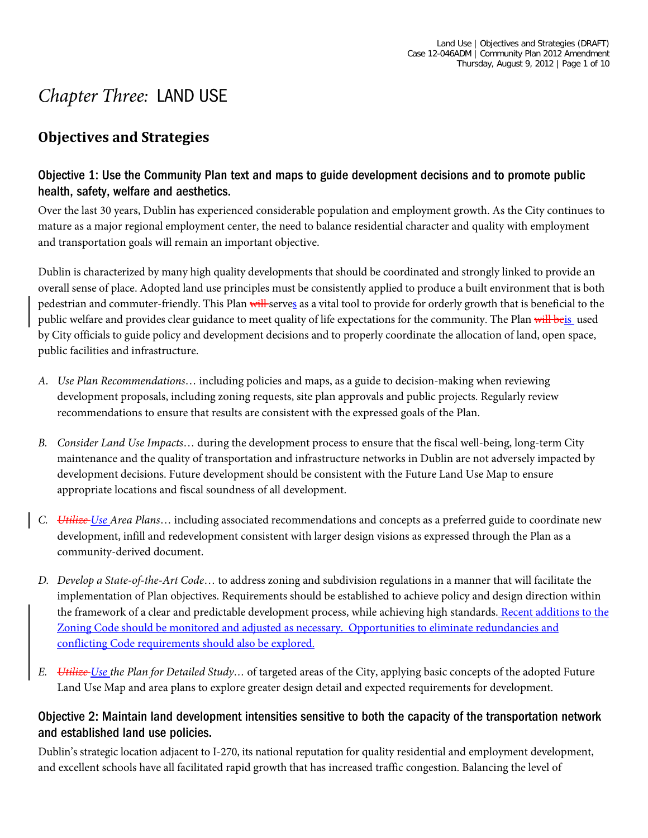# *Chapter Three:* LAND USE

# **Objectives and Strategies**

# Objective 1: Use the Community Plan text and maps to guide development decisions and to promote public health, safety, welfare and aesthetics.

Over the last 30 years, Dublin has experienced considerable population and employment growth. As the City continues to mature as a major regional employment center, the need to balance residential character and quality with employment and transportation goals will remain an important objective.

Dublin is characterized by many high quality developments that should be coordinated and strongly linked to provide an overall sense of place. Adopted land use principles must be consistently applied to produce a built environment that is both pedestrian and commuter-friendly. This Plan will serves as a vital tool to provide for orderly growth that is beneficial to the public welfare and provides clear guidance to meet quality of life expectations for the community. The Plan will beis used by City officials to guide policy and development decisions and to properly coordinate the allocation of land, open space, public facilities and infrastructure.

- *A. Use Plan Recommendations*… including policies and maps, as a guide to decision-making when reviewing development proposals, including zoning requests, site plan approvals and public projects. Regularly review recommendations to ensure that results are consistent with the expressed goals of the Plan.
- *B. Consider Land Use Impacts*… during the development process to ensure that the fiscal well-being, long-term City maintenance and the quality of transportation and infrastructure networks in Dublin are not adversely impacted by development decisions. Future development should be consistent with the Future Land Use Map to ensure appropriate locations and fiscal soundness of all development.
- *C. Utilize Use Area Plans*… including associated recommendations and concepts as a preferred guide to coordinate new development, infill and redevelopment consistent with larger design visions as expressed through the Plan as a community-derived document.
- *D. Develop a State-of-the-Art Code*… to address zoning and subdivision regulations in a manner that will facilitate the implementation of Plan objectives. Requirements should be established to achieve policy and design direction within the framework of a clear and predictable development process, while achieving high standards. Recent additions to the Zoning Code should be monitored and adjusted as necessary. Opportunities to eliminate redundancies and conflicting Code requirements should also be explored.
- *E. Utilize Use the Plan for Detailed Study…* of targeted areas of the City, applying basic concepts of the adopted Future Land Use Map and area plans to explore greater design detail and expected requirements for development.

#### Objective 2: Maintain land development intensities sensitive to both the capacity of the transportation network and established land use policies.

Dublin's strategic location adjacent to I-270, its national reputation for quality residential and employment development, and excellent schools have all facilitated rapid growth that has increased traffic congestion. Balancing the level of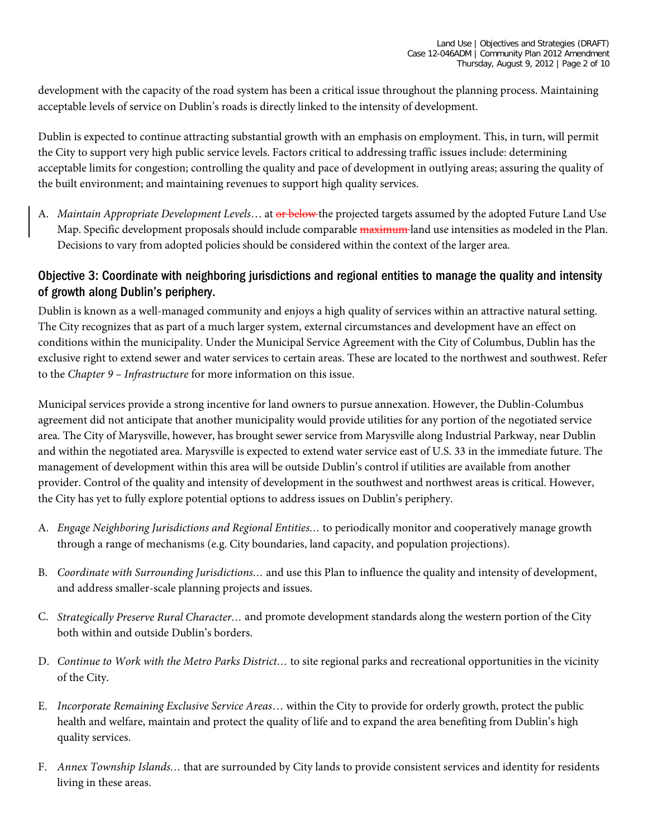development with the capacity of the road system has been a critical issue throughout the planning process. Maintaining acceptable levels of service on Dublin's roads is directly linked to the intensity of development.

Dublin is expected to continue attracting substantial growth with an emphasis on employment. This, in turn, will permit the City to support very high public service levels. Factors critical to addressing traffic issues include: determining acceptable limits for congestion; controlling the quality and pace of development in outlying areas; assuring the quality of the built environment; and maintaining revenues to support high quality services.

A. *Maintain Appropriate Development Levels*… at or below the projected targets assumed by the adopted Future Land Use Map. Specific development proposals should include comparable maximum land use intensities as modeled in the Plan. Decisions to vary from adopted policies should be considered within the context of the larger area.

# Objective 3: Coordinate with neighboring jurisdictions and regional entities to manage the quality and intensity of growth along Dublin's periphery.

Dublin is known as a well-managed community and enjoys a high quality of services within an attractive natural setting. The City recognizes that as part of a much larger system, external circumstances and development have an effect on conditions within the municipality. Under the Municipal Service Agreement with the City of Columbus, Dublin has the exclusive right to extend sewer and water services to certain areas. These are located to the northwest and southwest. Refer to the *Chapter 9 – Infrastructure* for more information on this issue.

Municipal services provide a strong incentive for land owners to pursue annexation. However, the Dublin-Columbus agreement did not anticipate that another municipality would provide utilities for any portion of the negotiated service area. The City of Marysville, however, has brought sewer service from Marysville along Industrial Parkway, near Dublin and within the negotiated area. Marysville is expected to extend water service east of U.S. 33 in the immediate future. The management of development within this area will be outside Dublin's control if utilities are available from another provider. Control of the quality and intensity of development in the southwest and northwest areas is critical. However, the City has yet to fully explore potential options to address issues on Dublin's periphery.

- A. *Engage Neighboring Jurisdictions and Regional Entities…* to periodically monitor and cooperatively manage growth through a range of mechanisms (e.g. City boundaries, land capacity, and population projections).
- B. *Coordinate with Surrounding Jurisdictions…* and use this Plan to influence the quality and intensity of development, and address smaller-scale planning projects and issues.
- C. *Strategically Preserve Rural Character…* and promote development standards along the western portion of the City both within and outside Dublin's borders.
- D. *Continue to Work with the Metro Parks District…* to site regional parks and recreational opportunities in the vicinity of the City.
- E. *Incorporate Remaining Exclusive Service Areas*… within the City to provide for orderly growth, protect the public health and welfare, maintain and protect the quality of life and to expand the area benefiting from Dublin's high quality services.
- F. *Annex Township Islands…* that are surrounded by City lands to provide consistent services and identity for residents living in these areas.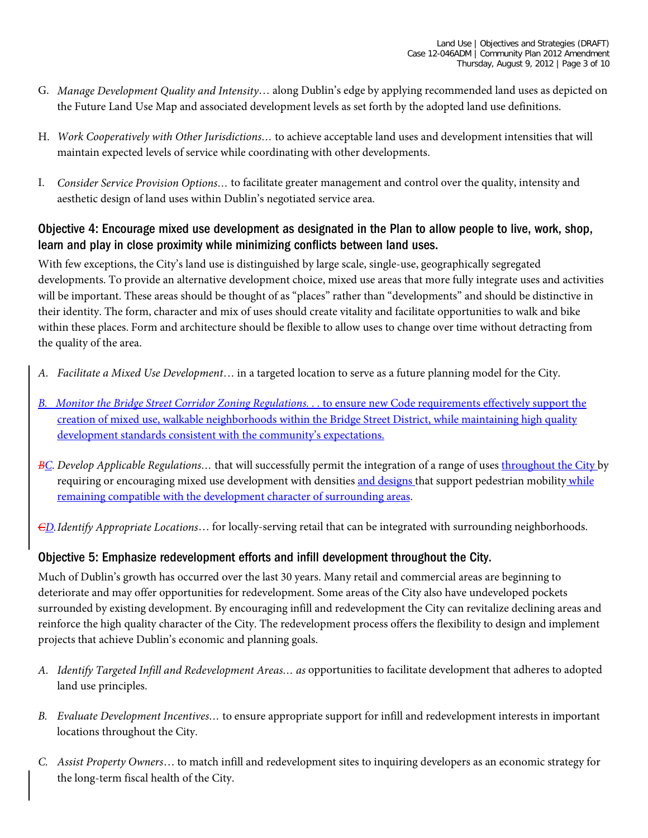- G. *Manage Development Quality and Intensity*… along Dublin's edge by applying recommended land uses as depicted on the Future Land Use Map and associated development levels as set forth by the adopted land use definitions.
- H. *Work Cooperatively with Other Jurisdictions…* to achieve acceptable land uses and development intensities that will maintain expected levels of service while coordinating with other developments.
- I. *Consider Service Provision Options…* to facilitate greater management and control over the quality, intensity and aesthetic design of land uses within Dublin's negotiated service area.

#### Objective 4: Encourage mixed use development as designated in the Plan to allow people to live, work, shop, learn and play in close proximity while minimizing conflicts between land uses.

With few exceptions, the City's land use is distinguished by large scale, single-use, geographically segregated developments. To provide an alternative development choice, mixed use areas that more fully integrate uses and activities will be important. These areas should be thought of as "places" rather than "developments" and should be distinctive in their identity. The form, character and mix of uses should create vitality and facilitate opportunities to walk and bike within these places. Form and architecture should be flexible to allow uses to change over time without detracting from the quality of the area.

- *A. Facilitate a Mixed Use Development*… in a targeted location to serve as a future planning model for the City.
- *B. Monitor the Bridge Street Corridor Zoning Regulations. . . to ensure new Code requirements effectively support the* creation of mixed use, walkable neighborhoods within the Bridge Street District, while maintaining high quality development standards consistent with the community's expectations.
- *BC. Develop Applicable Regulations…* that will successfully permit the integration of a range of uses throughout the City by requiring or encouraging mixed use development with densities and designs that support pedestrian mobility while remaining compatible with the development character of surrounding areas.

*CD.Identify Appropriate Locations*… for locally-serving retail that can be integrated with surrounding neighborhoods.

#### Objective 5: Emphasize redevelopment efforts and infill development throughout the City.

Much of Dublin's growth has occurred over the last 30 years. Many retail and commercial areas are beginning to deteriorate and may offer opportunities for redevelopment. Some areas of the City also have undeveloped pockets surrounded by existing development. By encouraging infill and redevelopment the City can revitalize declining areas and reinforce the high quality character of the City. The redevelopment process offers the flexibility to design and implement projects that achieve Dublin's economic and planning goals.

- *A. Identify Targeted Infill and Redevelopment Areas… as* opportunities to facilitate development that adheres to adopted land use principles.
- *B. Evaluate Development Incentives…* to ensure appropriate support for infill and redevelopment interests in important locations throughout the City.
- *C. Assist Property Owners*… to match infill and redevelopment sites to inquiring developers as an economic strategy for the long-term fiscal health of the City.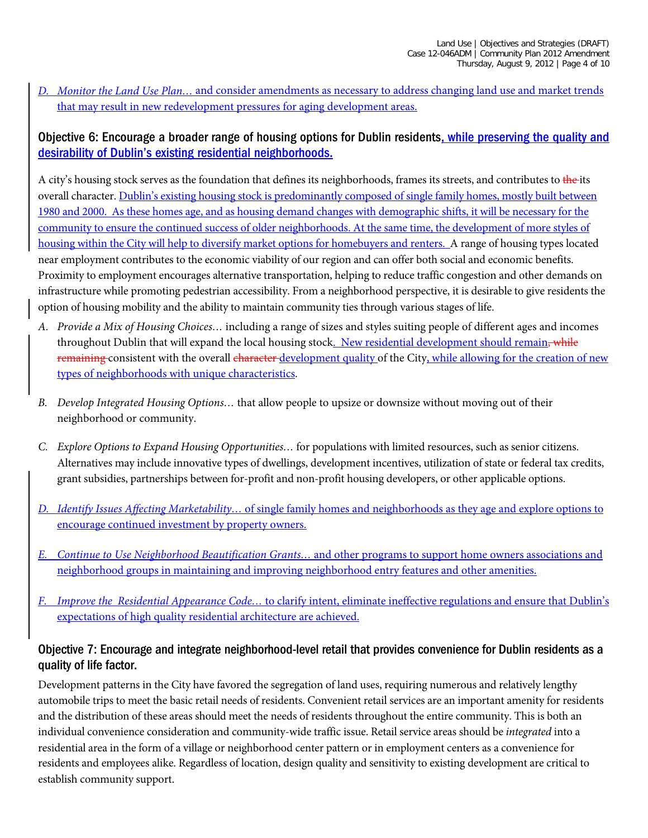*D. Monitor the Land Use Plan…* and consider amendments as necessary to address changing land use and market trends that may result in new redevelopment pressures for aging development areas.

# Objective 6: Encourage a broader range of housing options for Dublin residents, while preserving the quality and desirability of Dublin's existing residential neighborhoods.

A city's housing stock serves as the foundation that defines its neighborhoods, frames its streets, and contributes to the its overall character. Dublin's existing housing stock is predominantly composed of single family homes, mostly built between 1980 and 2000. As these homes age, and as housing demand changes with demographic shifts, it will be necessary for the community to ensure the continued success of older neighborhoods. At the same time, the development of more styles of housing within the City will help to diversify market options for homebuyers and renters. A range of housing types located near employment contributes to the economic viability of our region and can offer both social and economic benefits. Proximity to employment encourages alternative transportation, helping to reduce traffic congestion and other demands on infrastructure while promoting pedestrian accessibility. From a neighborhood perspective, it is desirable to give residents the option of housing mobility and the ability to maintain community ties through various stages of life.

- *A. Provide a Mix of Housing Choices…* including a range of sizes and styles suiting people of different ages and incomes throughout Dublin that will expand the local housing stock. New residential development should remain, while remaining consistent with the overall character development quality of the City, while allowing for the creation of new types of neighborhoods with unique characteristics.
- *B. Develop Integrated Housing Options…* that allow people to upsize or downsize without moving out of their neighborhood or community.
- *C. Explore Options to Expand Housing Opportunities…* for populations with limited resources, such as senior citizens. Alternatives may include innovative types of dwellings, development incentives, utilization of state or federal tax credits, grant subsidies, partnerships between for-profit and non-profit housing developers, or other applicable options.
- *D. Identify Issues Affecting Marketability…* of single family homes and neighborhoods as they age and explore options to encourage continued investment by property owners.
- *E. Continue to Use Neighborhood Beautification Grants…* and other programs to support home owners associations and neighborhood groups in maintaining and improving neighborhood entry features and other amenities.
- *F. Improve the Residential Appearance Code…* to clarify intent, eliminate ineffective regulations and ensure that Dublin's expectations of high quality residential architecture are achieved.

# Objective 7: Encourage and integrate neighborhood-level retail that provides convenience for Dublin residents as a quality of life factor.

Development patterns in the City have favored the segregation of land uses, requiring numerous and relatively lengthy automobile trips to meet the basic retail needs of residents. Convenient retail services are an important amenity for residents and the distribution of these areas should meet the needs of residents throughout the entire community. This is both an individual convenience consideration and community-wide traffic issue. Retail service areas should be *integrated* into a residential area in the form of a village or neighborhood center pattern or in employment centers as a convenience for residents and employees alike. Regardless of location, design quality and sensitivity to existing development are critical to establish community support.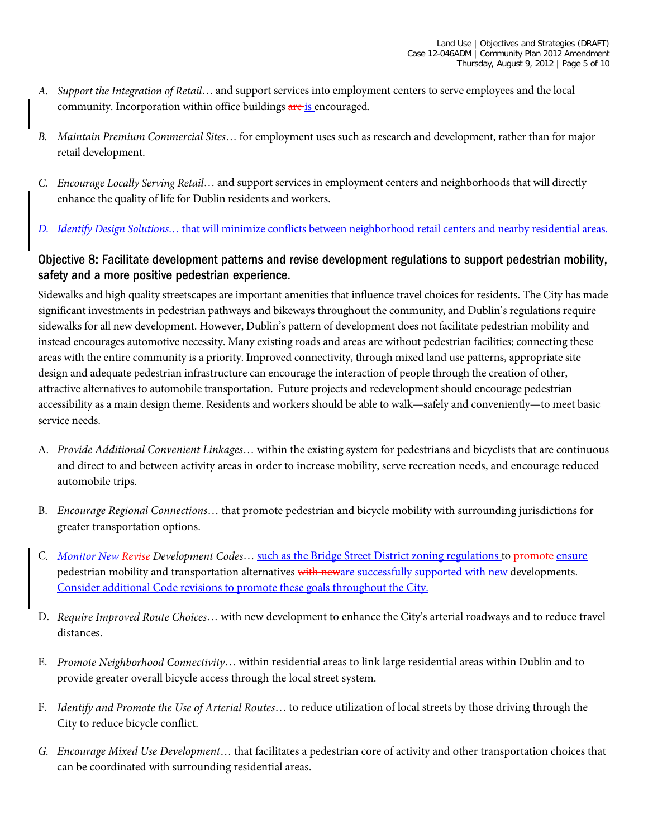- *A. Support the Integration of Retail*… and support services into employment centers to serve employees and the local community. Incorporation within office buildings are is encouraged.
- *B. Maintain Premium Commercial Sites*… for employment uses such as research and development, rather than for major retail development.
- *C. Encourage Locally Serving Retail*… and support services in employment centers and neighborhoods that will directly enhance the quality of life for Dublin residents and workers.

#### *D. Identify Design Solutions…* that will minimize conflicts between neighborhood retail centers and nearby residential areas.

# Objective 8: Facilitate development patterns and revise development regulations to support pedestrian mobility, safety and a more positive pedestrian experience.

Sidewalks and high quality streetscapes are important amenities that influence travel choices for residents. The City has made significant investments in pedestrian pathways and bikeways throughout the community, and Dublin's regulations require sidewalks for all new development. However, Dublin's pattern of development does not facilitate pedestrian mobility and instead encourages automotive necessity. Many existing roads and areas are without pedestrian facilities; connecting these areas with the entire community is a priority. Improved connectivity, through mixed land use patterns, appropriate site design and adequate pedestrian infrastructure can encourage the interaction of people through the creation of other, attractive alternatives to automobile transportation. Future projects and redevelopment should encourage pedestrian accessibility as a main design theme. Residents and workers should be able to walk—safely and conveniently—to meet basic service needs.

- A. *Provide Additional Convenient Linkages*… within the existing system for pedestrians and bicyclists that are continuous and direct to and between activity areas in order to increase mobility, serve recreation needs, and encourage reduced automobile trips.
- B. *Encourage Regional Connections*… that promote pedestrian and bicycle mobility with surrounding jurisdictions for greater transportation options.
- C*. Monitor New Revise Development Codes*… such as the Bridge Street District zoning regulations to promote ensure pedestrian mobility and transportation alternatives with neware successfully supported with new developments. Consider additional Code revisions to promote these goals throughout the City.
- D. *Require Improved Route Choices*… with new development to enhance the City's arterial roadways and to reduce travel distances.
- E. *Promote Neighborhood Connectivity*… within residential areas to link large residential areas within Dublin and to provide greater overall bicycle access through the local street system.
- F. *Identify and Promote the Use of Arterial Routes*… to reduce utilization of local streets by those driving through the City to reduce bicycle conflict.
- *G. Encourage Mixed Use Development*… that facilitates a pedestrian core of activity and other transportation choices that can be coordinated with surrounding residential areas.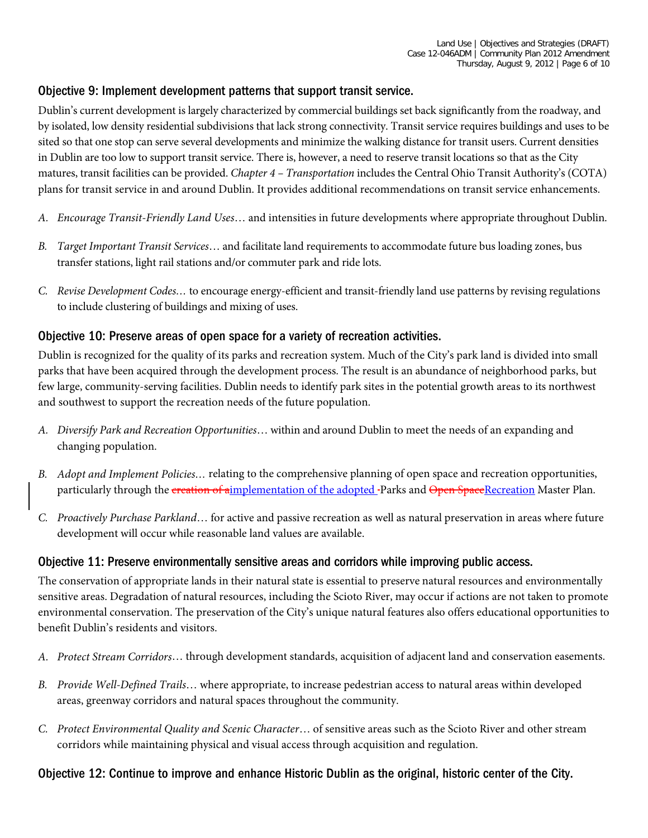#### Objective 9: Implement development patterns that support transit service.

Dublin's current development is largely characterized by commercial buildings set back significantly from the roadway, and by isolated, low density residential subdivisions that lack strong connectivity. Transit service requires buildings and uses to be sited so that one stop can serve several developments and minimize the walking distance for transit users. Current densities in Dublin are too low to support transit service. There is, however, a need to reserve transit locations so that as the City matures, transit facilities can be provided. *Chapter 4 – Transportation* includes the Central Ohio Transit Authority's (COTA) plans for transit service in and around Dublin. It provides additional recommendations on transit service enhancements.

- *A. Encourage Transit-Friendly Land Uses*… and intensities in future developments where appropriate throughout Dublin.
- *B. Target Important Transit Services*… and facilitate land requirements to accommodate future bus loading zones, bus transfer stations, light rail stations and/or commuter park and ride lots.
- *C. Revise Development Codes…* to encourage energy-efficient and transit-friendly land use patterns by revising regulations to include clustering of buildings and mixing of uses.

#### Objective 10: Preserve areas of open space for a variety of recreation activities.

Dublin is recognized for the quality of its parks and recreation system. Much of the City's park land is divided into small parks that have been acquired through the development process. The result is an abundance of neighborhood parks, but few large, community-serving facilities. Dublin needs to identify park sites in the potential growth areas to its northwest and southwest to support the recreation needs of the future population.

- *A. Diversify Park and Recreation Opportunities*… within and around Dublin to meet the needs of an expanding and changing population.
- *B. Adopt and Implement Policies…* relating to the comprehensive planning of open space and recreation opportunities, particularly through the creation of aimplementation of the adopted-Parks and Open SpaceRecreation Master Plan.
- *C. Proactively Purchase Parkland*… for active and passive recreation as well as natural preservation in areas where future development will occur while reasonable land values are available.

#### Objective 11: Preserve environmentally sensitive areas and corridors while improving public access.

The conservation of appropriate lands in their natural state is essential to preserve natural resources and environmentally sensitive areas. Degradation of natural resources, including the Scioto River, may occur if actions are not taken to promote environmental conservation. The preservation of the City's unique natural features also offers educational opportunities to benefit Dublin's residents and visitors.

- *A. Protect Stream Corridors*… through development standards, acquisition of adjacent land and conservation easements.
- *B. Provide Well-Defined Trails*… where appropriate, to increase pedestrian access to natural areas within developed areas, greenway corridors and natural spaces throughout the community.
- *C. Protect Environmental Quality and Scenic Character*… of sensitive areas such as the Scioto River and other stream corridors while maintaining physical and visual access through acquisition and regulation.

#### Objective 12: Continue to improve and enhance Historic Dublin as the original, historic center of the City.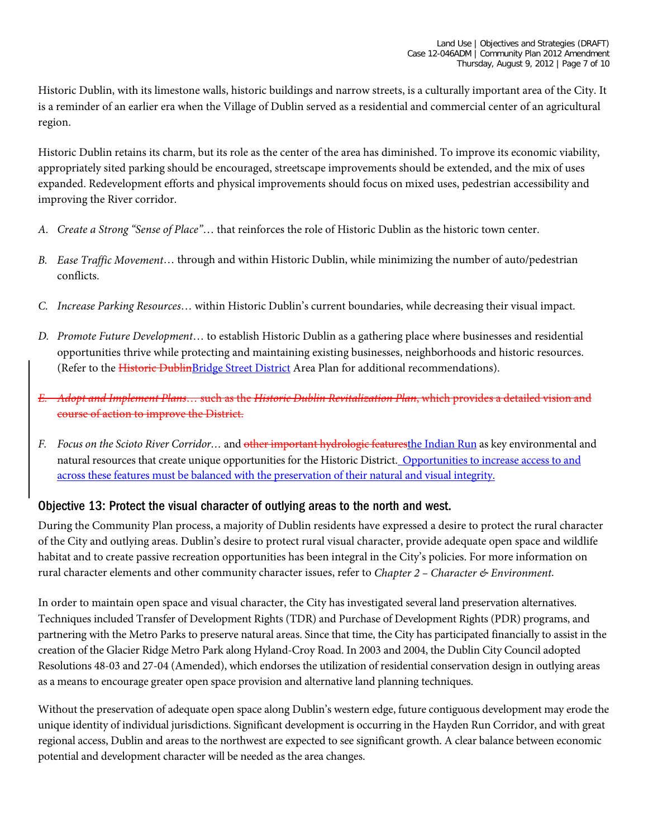Historic Dublin, with its limestone walls, historic buildings and narrow streets, is a culturally important area of the City. It is a reminder of an earlier era when the Village of Dublin served as a residential and commercial center of an agricultural region.

Historic Dublin retains its charm, but its role as the center of the area has diminished. To improve its economic viability, appropriately sited parking should be encouraged, streetscape improvements should be extended, and the mix of uses expanded. Redevelopment efforts and physical improvements should focus on mixed uses, pedestrian accessibility and improving the River corridor.

- *A. Create a Strong "Sense of Place"*… that reinforces the role of Historic Dublin as the historic town center.
- *B. Ease Traffic Movement*… through and within Historic Dublin, while minimizing the number of auto/pedestrian conflicts.
- *C. Increase Parking Resources*… within Historic Dublin's current boundaries, while decreasing their visual impact.
- *D. Promote Future Development*… to establish Historic Dublin as a gathering place where businesses and residential opportunities thrive while protecting and maintaining existing businesses, neighborhoods and historic resources. (Refer to the Historic DublinBridge Street District Area Plan for additional recommendations).
- *E. Adopt and Implement Plans*… such as the *Historic Dublin Revitalization Plan*, which provides a detailed vision and course of action to improve the District.
- *F. Focus on the Scioto River Corridor…* and other important hydrologic featuresthe Indian Run as key environmental and natural resources that create unique opportunities for the Historic District. Opportunities to increase access to and across these features must be balanced with the preservation of their natural and visual integrity.

#### Objective 13: Protect the visual character of outlying areas to the north and west.

During the Community Plan process, a majority of Dublin residents have expressed a desire to protect the rural character of the City and outlying areas. Dublin's desire to protect rural visual character, provide adequate open space and wildlife habitat and to create passive recreation opportunities has been integral in the City's policies. For more information on rural character elements and other community character issues, refer to *Chapter 2 – Character & Environment*.

In order to maintain open space and visual character, the City has investigated several land preservation alternatives. Techniques included Transfer of Development Rights (TDR) and Purchase of Development Rights (PDR) programs, and partnering with the Metro Parks to preserve natural areas. Since that time, the City has participated financially to assist in the creation of the Glacier Ridge Metro Park along Hyland-Croy Road. In 2003 and 2004, the Dublin City Council adopted Resolutions 48-03 and 27-04 (Amended), which endorses the utilization of residential conservation design in outlying areas as a means to encourage greater open space provision and alternative land planning techniques.

Without the preservation of adequate open space along Dublin's western edge, future contiguous development may erode the unique identity of individual jurisdictions. Significant development is occurring in the Hayden Run Corridor, and with great regional access, Dublin and areas to the northwest are expected to see significant growth. A clear balance between economic potential and development character will be needed as the area changes.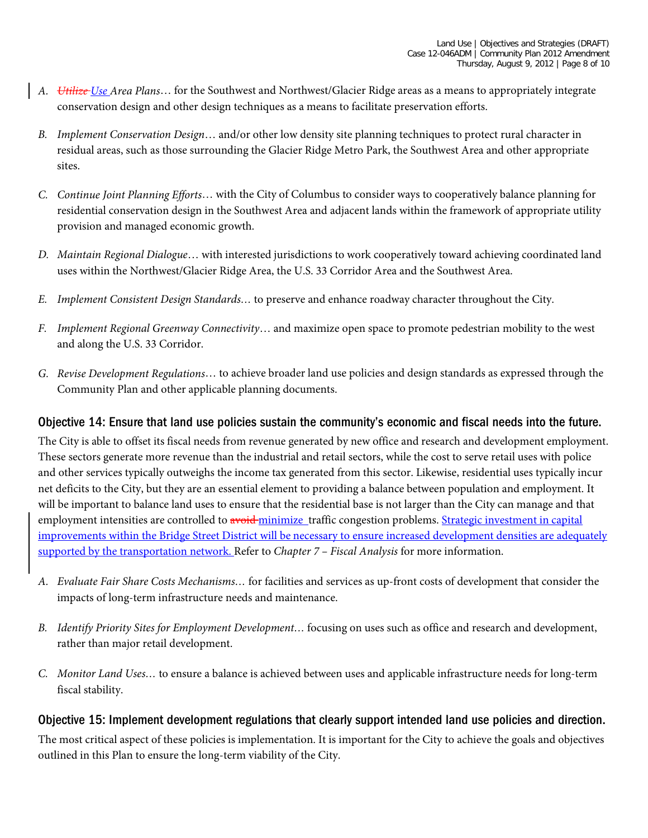- *A. Utilize Use Area Plans*… for the Southwest and Northwest/Glacier Ridge areas as a means to appropriately integrate conservation design and other design techniques as a means to facilitate preservation efforts.
- *B. Implement Conservation Design*… and/or other low density site planning techniques to protect rural character in residual areas, such as those surrounding the Glacier Ridge Metro Park, the Southwest Area and other appropriate sites.
- *C. Continue Joint Planning Efforts*… with the City of Columbus to consider ways to cooperatively balance planning for residential conservation design in the Southwest Area and adjacent lands within the framework of appropriate utility provision and managed economic growth.
- *D. Maintain Regional Dialogue*… with interested jurisdictions to work cooperatively toward achieving coordinated land uses within the Northwest/Glacier Ridge Area, the U.S. 33 Corridor Area and the Southwest Area.
- *E. Implement Consistent Design Standards…* to preserve and enhance roadway character throughout the City.
- *F. Implement Regional Greenway Connectivity*… and maximize open space to promote pedestrian mobility to the west and along the U.S. 33 Corridor.
- *G. Revise Development Regulations*… to achieve broader land use policies and design standards as expressed through the Community Plan and other applicable planning documents.

# Objective 14: Ensure that land use policies sustain the community's economic and fiscal needs into the future.

The City is able to offset its fiscal needs from revenue generated by new office and research and development employment. These sectors generate more revenue than the industrial and retail sectors, while the cost to serve retail uses with police and other services typically outweighs the income tax generated from this sector. Likewise, residential uses typically incur net deficits to the City, but they are an essential element to providing a balance between population and employment. It will be important to balance land uses to ensure that the residential base is not larger than the City can manage and that employment intensities are controlled to avoid minimize traffic congestion problems. Strategic investment in capital improvements within the Bridge Street District will be necessary to ensure increased development densities are adequately supported by the transportation network. Refer to *Chapter 7 – Fiscal Analysis* for more information.

- *A. Evaluate Fair Share Costs Mechanisms…* for facilities and services as up-front costs of development that consider the impacts of long-term infrastructure needs and maintenance.
- *B. Identify Priority Sites for Employment Development…* focusing on uses such as office and research and development, rather than major retail development.
- *C. Monitor Land Uses…* to ensure a balance is achieved between uses and applicable infrastructure needs for long-term fiscal stability.

#### Objective 15: Implement development regulations that clearly support intended land use policies and direction.

The most critical aspect of these policies is implementation. It is important for the City to achieve the goals and objectives outlined in this Plan to ensure the long-term viability of the City.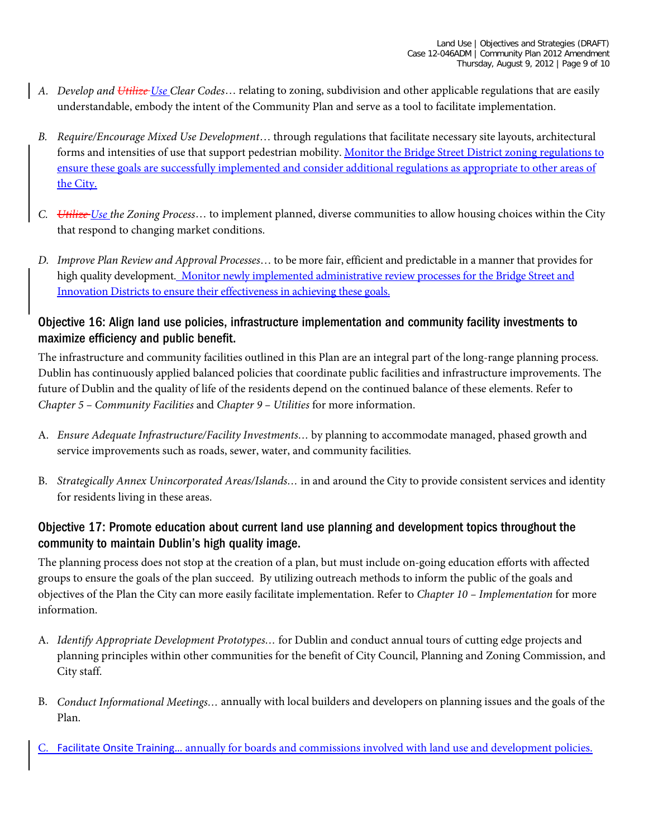- *A. Develop and Utilize Use Clear Codes*… relating to zoning, subdivision and other applicable regulations that are easily understandable, embody the intent of the Community Plan and serve as a tool to facilitate implementation.
- *B. Require/Encourage Mixed Use Development*… through regulations that facilitate necessary site layouts, architectural forms and intensities of use that support pedestrian mobility. Monitor the Bridge Street District zoning regulations to ensure these goals are successfully implemented and consider additional regulations as appropriate to other areas of the City.
- *C. Utilize Use the Zoning Process*… to implement planned, diverse communities to allow housing choices within the City that respond to changing market conditions.
- *D. Improve Plan Review and Approval Processes*… to be more fair, efficient and predictable in a manner that provides for high quality development. Monitor newly implemented administrative review processes for the Bridge Street and Innovation Districts to ensure their effectiveness in achieving these goals.

# Objective 16: Align land use policies, infrastructure implementation and community facility investments to maximize efficiency and public benefit.

The infrastructure and community facilities outlined in this Plan are an integral part of the long-range planning process. Dublin has continuously applied balanced policies that coordinate public facilities and infrastructure improvements. The future of Dublin and the quality of life of the residents depend on the continued balance of these elements. Refer to *Chapter 5 – Community Facilities* and *Chapter 9 – Utilities* for more information.

- A. *Ensure Adequate Infrastructure/Facility Investments…* by planning to accommodate managed, phased growth and service improvements such as roads, sewer, water, and community facilities.
- B. *Strategically Annex Unincorporated Areas/Islands…* in and around the City to provide consistent services and identity for residents living in these areas.

# Objective 17: Promote education about current land use planning and development topics throughout the community to maintain Dublin's high quality image.

The planning process does not stop at the creation of a plan, but must include on-going education efforts with affected groups to ensure the goals of the plan succeed. By utilizing outreach methods to inform the public of the goals and objectives of the Plan the City can more easily facilitate implementation. Refer to *Chapter 10 – Implementation* for more information.

- A. *Identify Appropriate Development Prototypes…* for Dublin and conduct annual tours of cutting edge projects and planning principles within other communities for the benefit of City Council, Planning and Zoning Commission, and City staff.
- B. *Conduct Informational Meetings…* annually with local builders and developers on planning issues and the goals of the Plan.
- Facilitate Onsite Training... annually for boards and commissions involved with land use and development policies.